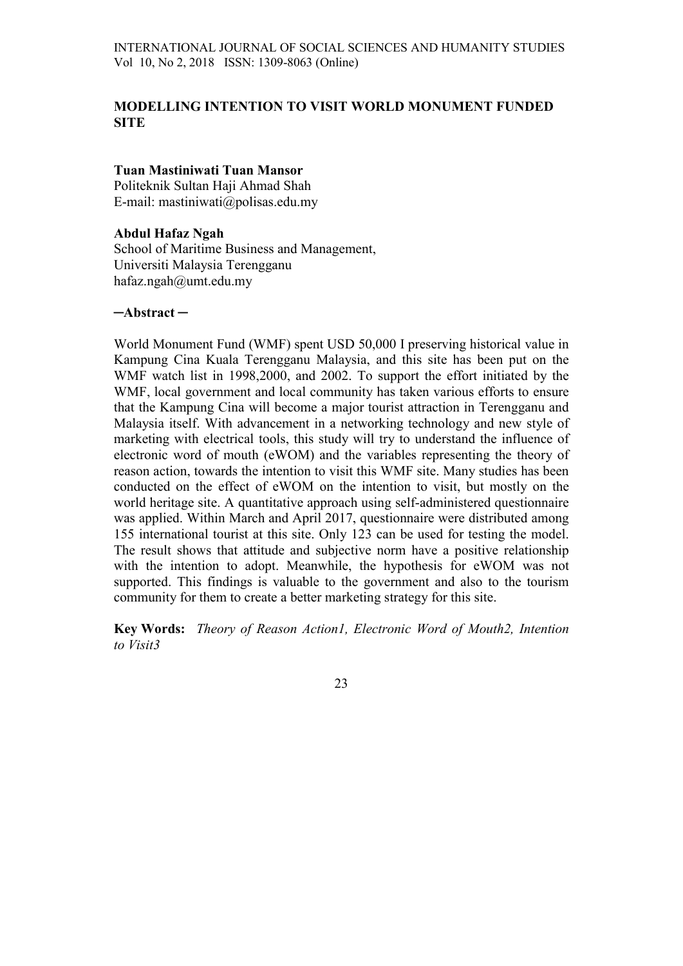# MODELLING INTENTION TO VISIT WORLD MONUMENT FUNDED **SITE**

# Tuan Mastiniwati Tuan Mansor

Politeknik Sultan Haji Ahmad Shah E-mail: mastiniwati@polisas.edu.my

# Abdul Hafaz Ngah

School of Maritime Business and Management, Universiti Malaysia Terengganu hafaz.ngah@umt.edu.my

#### ─Abstract ─

World Monument Fund (WMF) spent USD 50,000 I preserving historical value in Kampung Cina Kuala Terengganu Malaysia, and this site has been put on the WMF watch list in 1998,2000, and 2002. To support the effort initiated by the WMF, local government and local community has taken various efforts to ensure that the Kampung Cina will become a major tourist attraction in Terengganu and Malaysia itself. With advancement in a networking technology and new style of marketing with electrical tools, this study will try to understand the influence of electronic word of mouth (eWOM) and the variables representing the theory of reason action, towards the intention to visit this WMF site. Many studies has been conducted on the effect of eWOM on the intention to visit, but mostly on the world heritage site. A quantitative approach using self-administered questionnaire was applied. Within March and April 2017, questionnaire were distributed among 155 international tourist at this site. Only 123 can be used for testing the model. The result shows that attitude and subjective norm have a positive relationship with the intention to adopt. Meanwhile, the hypothesis for eWOM was not supported. This findings is valuable to the government and also to the tourism community for them to create a better marketing strategy for this site.

Key Words: Theory of Reason Action1, Electronic Word of Mouth2, Intention to Visit3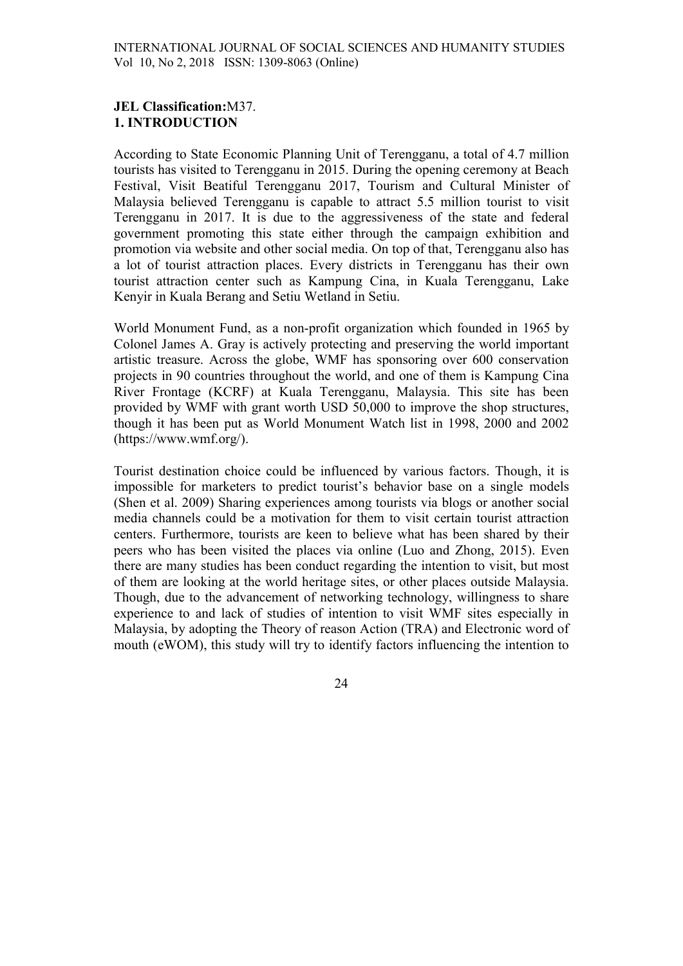# JEL Classification:M37. 1. INTRODUCTION

According to State Economic Planning Unit of Terengganu, a total of 4.7 million tourists has visited to Terengganu in 2015. During the opening ceremony at Beach Festival, Visit Beatiful Terengganu 2017, Tourism and Cultural Minister of Malaysia believed Terengganu is capable to attract 5.5 million tourist to visit Terengganu in 2017. It is due to the aggressiveness of the state and federal government promoting this state either through the campaign exhibition and promotion via website and other social media. On top of that, Terengganu also has a lot of tourist attraction places. Every districts in Terengganu has their own tourist attraction center such as Kampung Cina, in Kuala Terengganu, Lake Kenyir in Kuala Berang and Setiu Wetland in Setiu.

World Monument Fund, as a non-profit organization which founded in 1965 by Colonel James A. Gray is actively protecting and preserving the world important artistic treasure. Across the globe, WMF has sponsoring over 600 conservation projects in 90 countries throughout the world, and one of them is Kampung Cina River Frontage (KCRF) at Kuala Terengganu, Malaysia. This site has been provided by WMF with grant worth USD 50,000 to improve the shop structures, though it has been put as World Monument Watch list in 1998, 2000 and 2002 (https://www.wmf.org/).

Tourist destination choice could be influenced by various factors. Though, it is impossible for marketers to predict tourist's behavior base on a single models (Shen et al. 2009) Sharing experiences among tourists via blogs or another social media channels could be a motivation for them to visit certain tourist attraction centers. Furthermore, tourists are keen to believe what has been shared by their peers who has been visited the places via online (Luo and Zhong, 2015). Even there are many studies has been conduct regarding the intention to visit, but most of them are looking at the world heritage sites, or other places outside Malaysia. Though, due to the advancement of networking technology, willingness to share experience to and lack of studies of intention to visit WMF sites especially in Malaysia, by adopting the Theory of reason Action (TRA) and Electronic word of mouth (eWOM), this study will try to identify factors influencing the intention to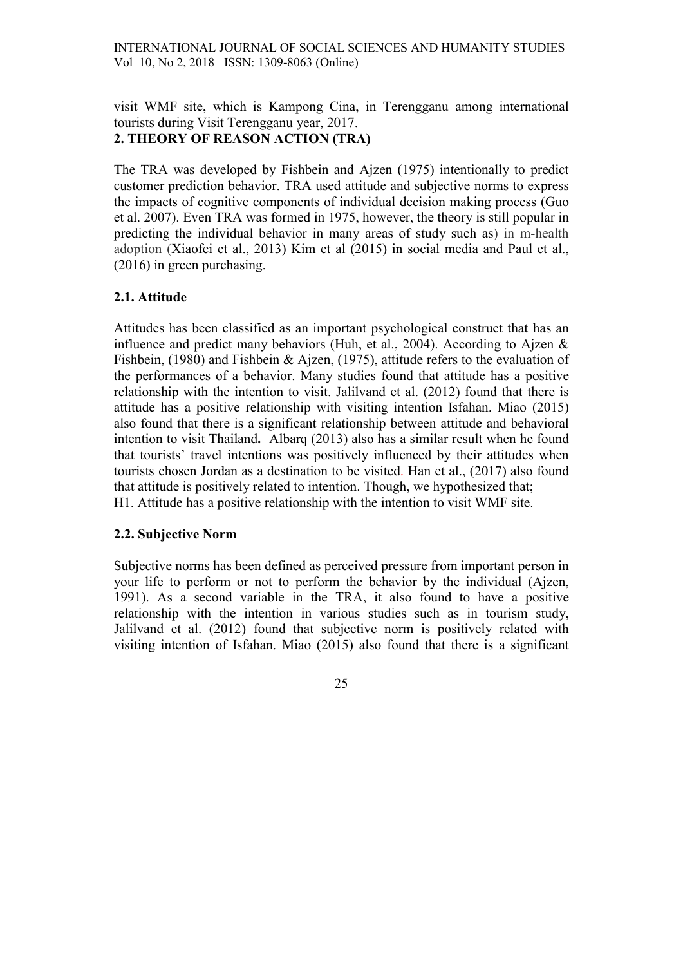visit WMF site, which is Kampong Cina, in Terengganu among international tourists during Visit Terengganu year, 2017. 2. THEORY OF REASON ACTION (TRA)

The TRA was developed by Fishbein and Ajzen (1975) intentionally to predict customer prediction behavior. TRA used attitude and subjective norms to express the impacts of cognitive components of individual decision making process (Guo et al. 2007). Even TRA was formed in 1975, however, the theory is still popular in predicting the individual behavior in many areas of study such as) in m-health adoption (Xiaofei et al., 2013) Kim et al (2015) in social media and Paul et al., (2016) in green purchasing.

### 2.1. Attitude

Attitudes has been classified as an important psychological construct that has an influence and predict many behaviors (Huh, et al., 2004). According to Ajzen & Fishbein, (1980) and Fishbein & Ajzen, (1975), attitude refers to the evaluation of the performances of a behavior. Many studies found that attitude has a positive relationship with the intention to visit. Jalilvand et al. (2012) found that there is attitude has a positive relationship with visiting intention Isfahan. Miao (2015) also found that there is a significant relationship between attitude and behavioral intention to visit Thailand. Albarq (2013) also has a similar result when he found that tourists' travel intentions was positively influenced by their attitudes when tourists chosen Jordan as a destination to be visited. Han et al., (2017) also found that attitude is positively related to intention. Though, we hypothesized that; H1. Attitude has a positive relationship with the intention to visit WMF site.

### 2.2. Subjective Norm

Subjective norms has been defined as perceived pressure from important person in your life to perform or not to perform the behavior by the individual (Ajzen, 1991). As a second variable in the TRA, it also found to have a positive relationship with the intention in various studies such as in tourism study, Jalilvand et al. (2012) found that subjective norm is positively related with visiting intention of Isfahan. Miao (2015) also found that there is a significant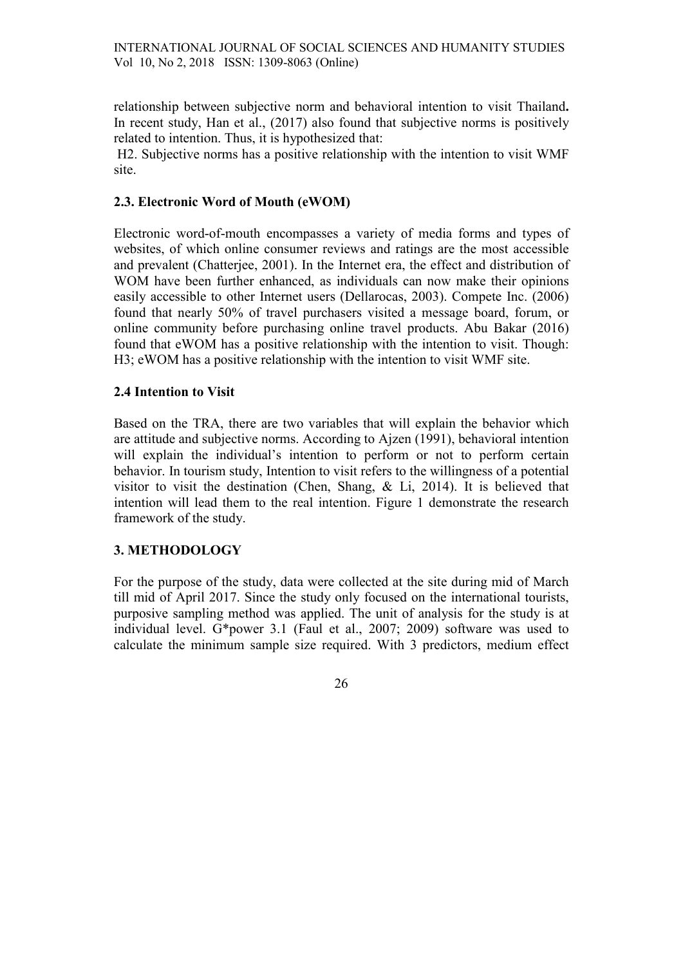relationship between subjective norm and behavioral intention to visit Thailand. In recent study, Han et al., (2017) also found that subjective norms is positively related to intention. Thus, it is hypothesized that:

H2. Subjective norms has a positive relationship with the intention to visit WMF site.

## 2.3. Electronic Word of Mouth (eWOM)

Electronic word-of-mouth encompasses a variety of media forms and types of websites, of which online consumer reviews and ratings are the most accessible and prevalent (Chatterjee, 2001). In the Internet era, the effect and distribution of WOM have been further enhanced, as individuals can now make their opinions easily accessible to other Internet users (Dellarocas, 2003). Compete Inc. (2006) found that nearly 50% of travel purchasers visited a message board, forum, or online community before purchasing online travel products. Abu Bakar (2016) found that eWOM has a positive relationship with the intention to visit. Though: H3; eWOM has a positive relationship with the intention to visit WMF site.

### 2.4 Intention to Visit

Based on the TRA, there are two variables that will explain the behavior which are attitude and subjective norms. According to Ajzen (1991), behavioral intention will explain the individual's intention to perform or not to perform certain behavior. In tourism study, Intention to visit refers to the willingness of a potential visitor to visit the destination (Chen, Shang, & Li, 2014). It is believed that intention will lead them to the real intention. Figure 1 demonstrate the research framework of the study.

# 3. METHODOLOGY

For the purpose of the study, data were collected at the site during mid of March till mid of April 2017. Since the study only focused on the international tourists, purposive sampling method was applied. The unit of analysis for the study is at individual level. G\*power 3.1 (Faul et al., 2007; 2009) software was used to calculate the minimum sample size required. With 3 predictors, medium effect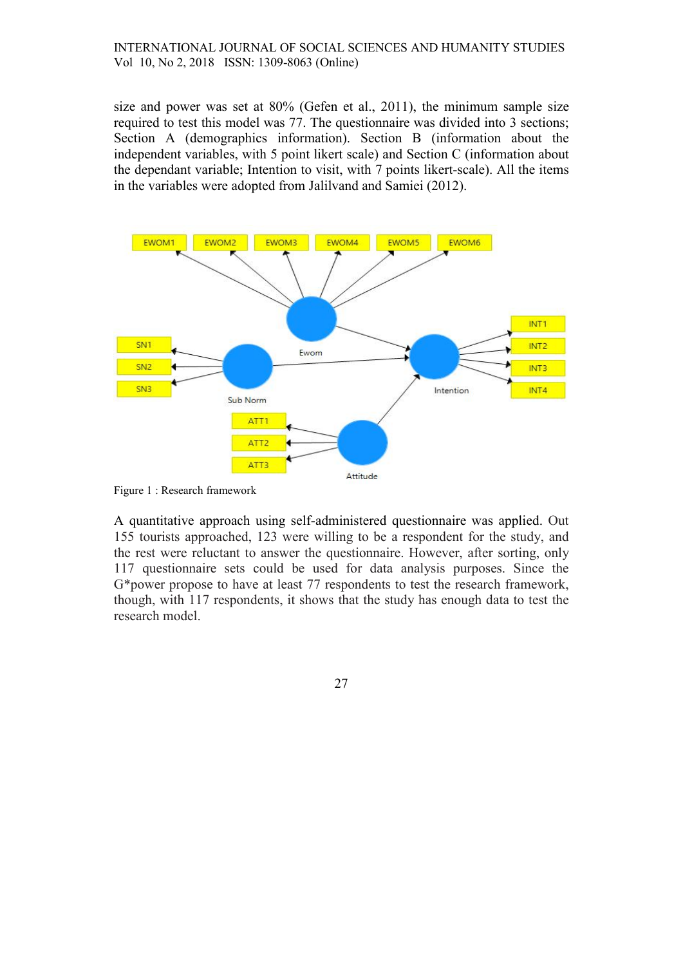size and power was set at 80% (Gefen et al., 2011), the minimum sample size required to test this model was 77. The questionnaire was divided into 3 sections; Section A (demographics information). Section B (information about the independent variables, with 5 point likert scale) and Section C (information about the dependant variable; Intention to visit, with 7 points likert-scale). All the items in the variables were adopted from Jalilvand and Samiei (2012).



Figure 1 : Research framework

A quantitative approach using self-administered questionnaire was applied. Out 155 tourists approached, 123 were willing to be a respondent for the study, and the rest were reluctant to answer the questionnaire. However, after sorting, only 117 questionnaire sets could be used for data analysis purposes. Since the G\*power propose to have at least 77 respondents to test the research framework, though, with 117 respondents, it shows that the study has enough data to test the research model.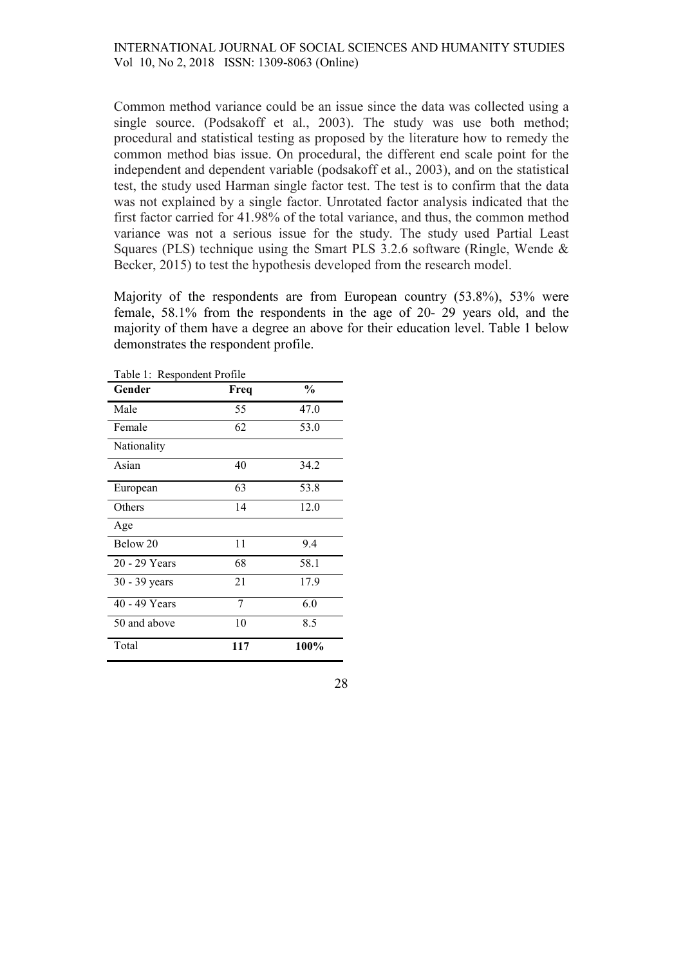Common method variance could be an issue since the data was collected using a single source. (Podsakoff et al., 2003). The study was use both method; procedural and statistical testing as proposed by the literature how to remedy the common method bias issue. On procedural, the different end scale point for the independent and dependent variable (podsakoff et al., 2003), and on the statistical test, the study used Harman single factor test. The test is to confirm that the data was not explained by a single factor. Unrotated factor analysis indicated that the first factor carried for 41.98% of the total variance, and thus, the common method variance was not a serious issue for the study. The study used Partial Least Squares (PLS) technique using the Smart PLS 3.2.6 software (Ringle, Wende & Becker, 2015) to test the hypothesis developed from the research model.

Majority of the respondents are from European country (53.8%), 53% were female, 58.1% from the respondents in the age of 20- 29 years old, and the majority of them have a degree an above for their education level. Table 1 below demonstrates the respondent profile.

| Table 1: Respondent Profile |      |               |  |  |  |
|-----------------------------|------|---------------|--|--|--|
| Gender                      | Freq | $\frac{0}{0}$ |  |  |  |
| Male                        | 55   | 47.0          |  |  |  |
| Female                      | 62   | 53.0          |  |  |  |
| Nationality                 |      |               |  |  |  |
| Asian                       | 40   | 34.2          |  |  |  |
| European                    | 63   | 53.8          |  |  |  |
| Others                      | 14   | 12.0          |  |  |  |
| Age                         |      |               |  |  |  |
| Below 20                    | 11   | 9.4           |  |  |  |
| 20 - 29 Years               | 68   | 58.1          |  |  |  |
| 30 - 39 years               | 21   | 17.9          |  |  |  |
| 40 - 49 Years               | 7    | 6.0           |  |  |  |
| 50 and above                | 10   | 8.5           |  |  |  |
| Total                       | 117  | 100%          |  |  |  |

| i<br>×<br>٧ |
|-------------|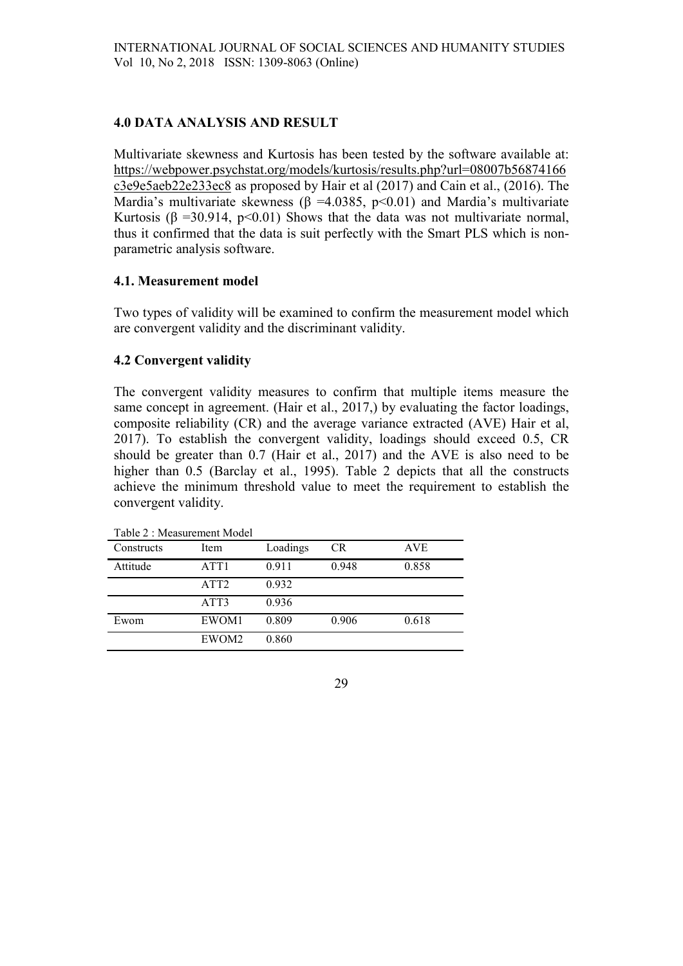# 4.0 DATA ANALYSIS AND RESULT

Multivariate skewness and Kurtosis has been tested by the software available at: https://webpower.psychstat.org/models/kurtosis/results.php?url=08007b56874166 c3e9e5aeb22e233ec8 as proposed by Hair et al (2017) and Cain et al., (2016). The Mardia's multivariate skewness ( $\beta$  =4.0385, p<0.01) and Mardia's multivariate Kurtosis ( $\beta$  =30.914, p<0.01) Shows that the data was not multivariate normal, thus it confirmed that the data is suit perfectly with the Smart PLS which is nonparametric analysis software.

# 4.1. Measurement model

Two types of validity will be examined to confirm the measurement model which are convergent validity and the discriminant validity.

# 4.2 Convergent validity

The convergent validity measures to confirm that multiple items measure the same concept in agreement. (Hair et al., 2017,) by evaluating the factor loadings, composite reliability (CR) and the average variance extracted (AVE) Hair et al, 2017). To establish the convergent validity, loadings should exceed 0.5, CR should be greater than 0.7 (Hair et al., 2017) and the AVE is also need to be higher than 0.5 (Barclay et al., 1995). Table 2 depicts that all the constructs achieve the minimum threshold value to meet the requirement to establish the convergent validity.

| Table 2 : Measurement Model |                  |          |       |            |  |
|-----------------------------|------------------|----------|-------|------------|--|
| Constructs                  | Item             | Loadings | CR.   | <b>AVE</b> |  |
| Attitude                    | ATT <sub>1</sub> | 0.911    | 0.948 | 0.858      |  |
|                             | ATT <sub>2</sub> | 0.932    |       |            |  |
|                             | ATT3             | 0.936    |       |            |  |
| Ewom                        | EWOM1            | 0.809    | 0.906 | 0.618      |  |
|                             | EWOM2            | 0.860    |       |            |  |

Table 2 : Measurement Model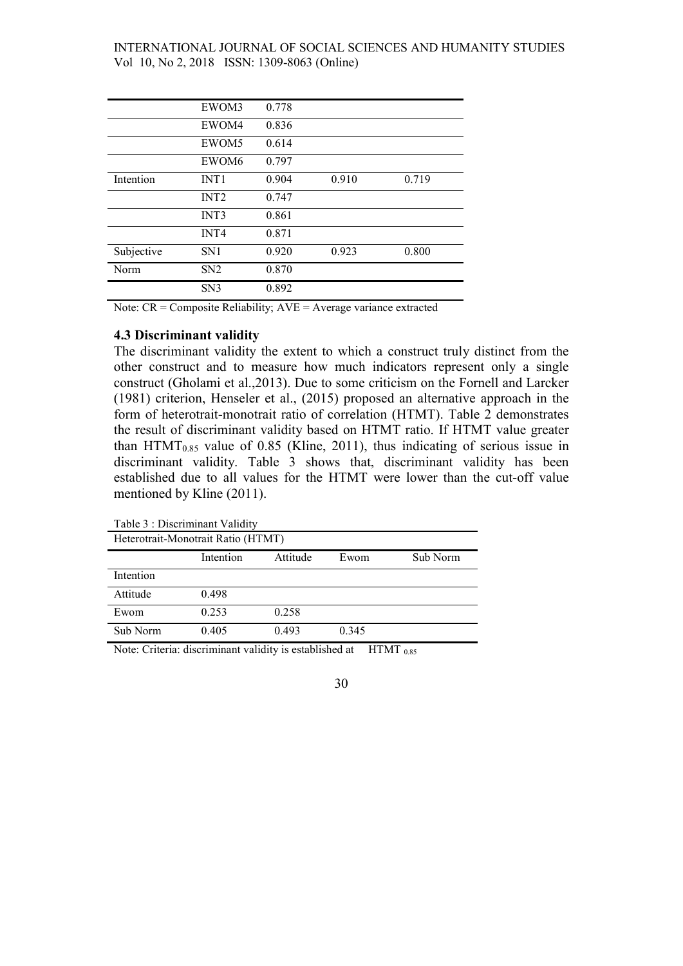|            | EWOM3            | 0.778 |       |       |  |
|------------|------------------|-------|-------|-------|--|
|            | EWOM4            | 0.836 |       |       |  |
|            | EWOM5            | 0.614 |       |       |  |
|            | EWOM6            | 0.797 |       |       |  |
| Intention  | INT <sub>1</sub> | 0.904 | 0.910 | 0.719 |  |
|            | INT <sub>2</sub> | 0.747 |       |       |  |
|            | INT3             | 0.861 |       |       |  |
|            | INT <sub>4</sub> | 0.871 |       |       |  |
| Subjective | SN <sub>1</sub>  | 0.920 | 0.923 | 0.800 |  |
| Norm       | SN2              | 0.870 |       |       |  |
|            | SN <sub>3</sub>  | 0.892 |       |       |  |

Note: CR = Composite Reliability; AVE = Average variance extracted

### 4.3 Discriminant validity

The discriminant validity the extent to which a construct truly distinct from the other construct and to measure how much indicators represent only a single construct (Gholami et al.,2013). Due to some criticism on the Fornell and Larcker (1981) criterion, Henseler et al., (2015) proposed an alternative approach in the form of heterotrait-monotrait ratio of correlation (HTMT). Table 2 demonstrates the result of discriminant validity based on HTMT ratio. If HTMT value greater than  $HTMT<sub>0.85</sub>$  value of 0.85 (Kline, 2011), thus indicating of serious issue in discriminant validity. Table 3 shows that, discriminant validity has been established due to all values for the HTMT were lower than the cut-off value mentioned by Kline (2011).

Table 3 : Discriminant Validity

| Heterotrait-Monotrait Ratio (HTMT) |           |          |       |          |  |
|------------------------------------|-----------|----------|-------|----------|--|
|                                    | Intention | Attitude | Ewom  | Sub Norm |  |
| Intention                          |           |          |       |          |  |
| Attitude                           | 0.498     |          |       |          |  |
| Ewom                               | 0.253     | 0.258    |       |          |  |
| Sub Norm                           | 0.405     | 0.493    | 0.345 |          |  |
|                                    |           |          | .     |          |  |

Note: Criteria: discriminant validity is established at  $H T M T_{0.85}$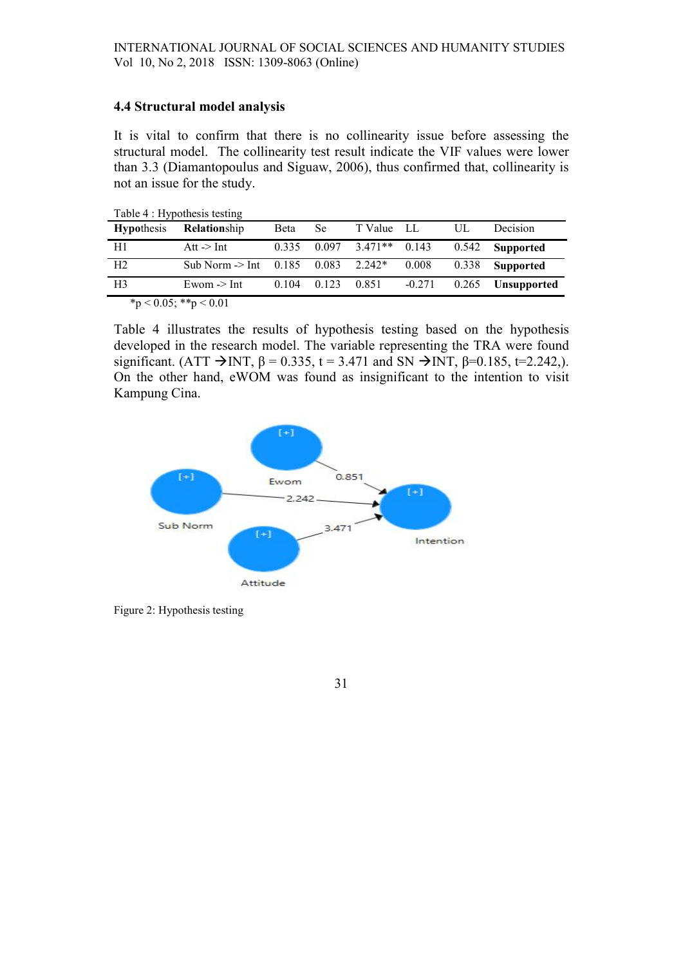### 4.4 Structural model analysis

It is vital to confirm that there is no collinearity issue before assessing the structural model. The collinearity test result indicate the VIF values were lower than 3.3 (Diamantopoulus and Siguaw, 2006), thus confirmed that, collinearity is not an issue for the study.

| Table 4 : Hypothesis testing |                                 |             |       |                       |          |       |                    |
|------------------------------|---------------------------------|-------------|-------|-----------------------|----------|-------|--------------------|
| <b>Hypothesis</b>            | <b>Relationship</b>             | <b>Beta</b> | Se.   | T Value LL            |          | UL    | Decision           |
| H1                           | Att $\rightarrow$ Int           | 0.335       |       | $0.097$ 3.471** 0.143 |          | 0.542 | Supported          |
| H <sub>2</sub>               | Sub Norm $\geq$ Int 0.185 0.083 |             |       | $2.242*$              | 0.008    | 0.338 | Supported          |
| H <sub>3</sub>               | Ewom $\geq$ Int                 | 0.104       | 0.123 | 0.851                 | $-0.271$ | 0.265 | <b>Unsupported</b> |
|                              |                                 |             |       |                       |          |       |                    |

 $*_{p} < 0.05; **p < 0.01$ 

Table 4 illustrates the results of hypothesis testing based on the hypothesis developed in the research model. The variable representing the TRA were found significant. (ATT  $\rightarrow$  INT,  $\beta$  = 0.335, t = 3.471 and SN  $\rightarrow$  INT,  $\beta$ =0.185, t=2.242,). On the other hand, eWOM was found as insignificant to the intention to visit Kampung Cina.



Figure 2: Hypothesis testing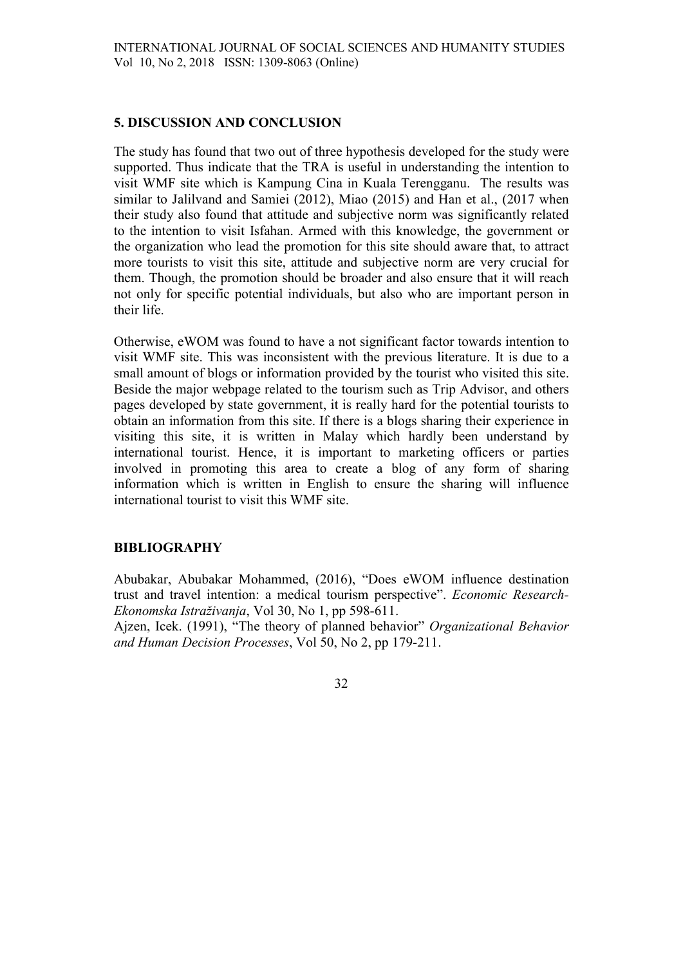### 5. DISCUSSION AND CONCLUSION

The study has found that two out of three hypothesis developed for the study were supported. Thus indicate that the TRA is useful in understanding the intention to visit WMF site which is Kampung Cina in Kuala Terengganu. The results was similar to Jalilvand and Samiei (2012), Miao (2015) and Han et al., (2017 when their study also found that attitude and subjective norm was significantly related to the intention to visit Isfahan. Armed with this knowledge, the government or the organization who lead the promotion for this site should aware that, to attract more tourists to visit this site, attitude and subjective norm are very crucial for them. Though, the promotion should be broader and also ensure that it will reach not only for specific potential individuals, but also who are important person in their life.

Otherwise, eWOM was found to have a not significant factor towards intention to visit WMF site. This was inconsistent with the previous literature. It is due to a small amount of blogs or information provided by the tourist who visited this site. Beside the major webpage related to the tourism such as Trip Advisor, and others pages developed by state government, it is really hard for the potential tourists to obtain an information from this site. If there is a blogs sharing their experience in visiting this site, it is written in Malay which hardly been understand by international tourist. Hence, it is important to marketing officers or parties involved in promoting this area to create a blog of any form of sharing information which is written in English to ensure the sharing will influence international tourist to visit this WMF site.

### BIBLIOGRAPHY

Abubakar, Abubakar Mohammed, (2016), "Does eWOM influence destination trust and travel intention: a medical tourism perspective". Economic Research-Ekonomska Istraživanja, Vol 30, No 1, pp 598-611.

Ajzen, Icek. (1991), "The theory of planned behavior" Organizational Behavior and Human Decision Processes, Vol 50, No 2, pp 179-211.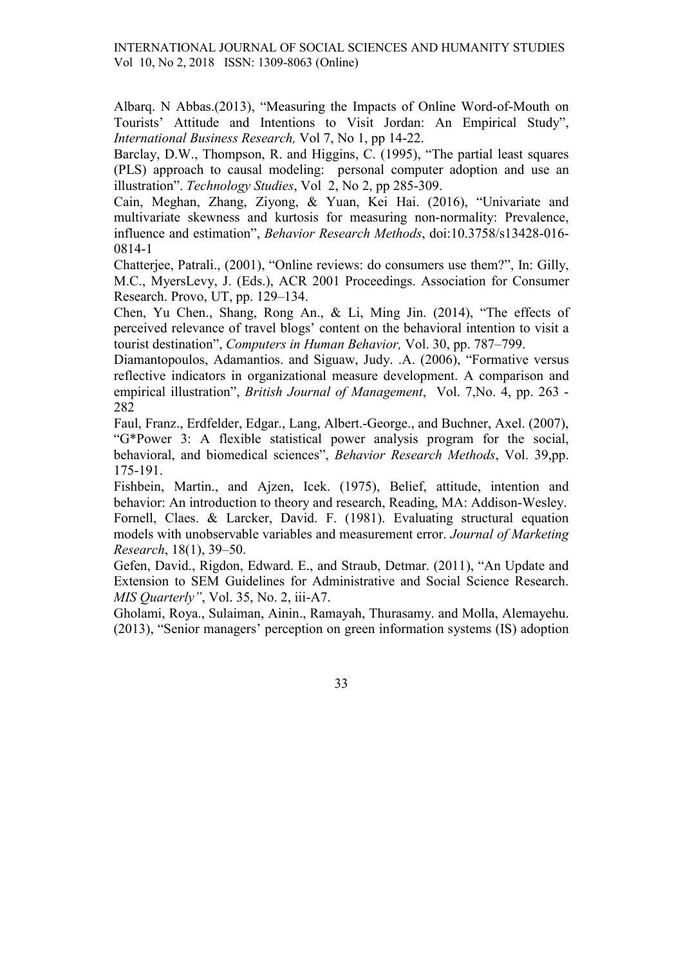Albarq. N Abbas.(2013), "Measuring the Impacts of Online Word-of-Mouth on Tourists' Attitude and Intentions to Visit Jordan: An Empirical Study", International Business Research, Vol 7, No 1, pp 14-22.

Barclay, D.W., Thompson, R. and Higgins, C. (1995), "The partial least squares (PLS) approach to causal modeling: personal computer adoption and use an illustration". Technology Studies, Vol 2, No 2, pp 285-309.

Cain, Meghan, Zhang, Ziyong, & Yuan, Kei Hai. (2016), "Univariate and multivariate skewness and kurtosis for measuring non-normality: Prevalence, influence and estimation", Behavior Research Methods, doi:10.3758/s13428-016- 0814-1

Chatterjee, Patrali., (2001), "Online reviews: do consumers use them?", In: Gilly, M.C., MyersLevy, J. (Eds.), ACR 2001 Proceedings. Association for Consumer Research. Provo, UT, pp. 129–134.

Chen, Yu Chen., Shang, Rong An., & Li, Ming Jin. (2014), "The effects of perceived relevance of travel blogs' content on the behavioral intention to visit a tourist destination", Computers in Human Behavior, Vol. 30, pp. 787–799.

Diamantopoulos, Adamantios. and Siguaw, Judy. .A. (2006), "Formative versus reflective indicators in organizational measure development. A comparison and empirical illustration", *British Journal of Management*, Vol. 7, No. 4, pp. 263 -282

Faul, Franz., Erdfelder, Edgar., Lang, Albert.-George., and Buchner, Axel. (2007), "G\*Power 3: A flexible statistical power analysis program for the social, behavioral, and biomedical sciences", Behavior Research Methods, Vol. 39,pp. 175-191.

Fishbein, Martin., and Ajzen, Icek. (1975), Belief, attitude, intention and behavior: An introduction to theory and research, Reading, MA: Addison-Wesley. Fornell, Claes. & Larcker, David. F. (1981). Evaluating structural equation models with unobservable variables and measurement error. Journal of Marketing Research, 18(1), 39–50.

Gefen, David., Rigdon, Edward. E., and Straub, Detmar. (2011), "An Update and Extension to SEM Guidelines for Administrative and Social Science Research. MIS Quarterly", Vol. 35, No. 2, iii-A7.

Gholami, Roya., Sulaiman, Ainin., Ramayah, Thurasamy. and Molla, Alemayehu. (2013), "Senior managers' perception on green information systems (IS) adoption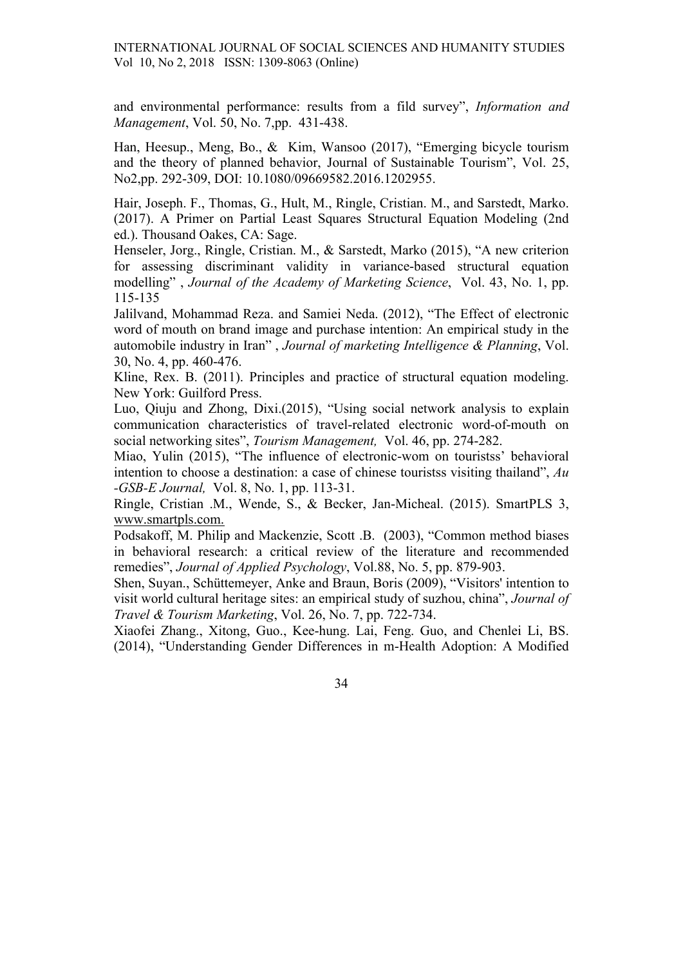and environmental performance: results from a fild survey", Information and Management, Vol. 50, No. 7,pp. 431-438.

Han, Heesup., Meng, Bo., & Kim, Wansoo (2017), "Emerging bicycle tourism and the theory of planned behavior, Journal of Sustainable Tourism", Vol. 25, No2,pp. 292-309, DOI: 10.1080/09669582.2016.1202955.

Hair, Joseph. F., Thomas, G., Hult, M., Ringle, Cristian. M., and Sarstedt, Marko. (2017). A Primer on Partial Least Squares Structural Equation Modeling (2nd ed.). Thousand Oakes, CA: Sage.

Henseler, Jorg., Ringle, Cristian. M., & Sarstedt, Marko (2015), "A new criterion for assessing discriminant validity in variance-based structural equation modelling", Journal of the Academy of Marketing Science, Vol. 43, No. 1, pp. 115-135

Jalilvand, Mohammad Reza. and Samiei Neda. (2012), "The Effect of electronic word of mouth on brand image and purchase intention: An empirical study in the automobile industry in Iran" , Journal of marketing Intelligence & Planning, Vol. 30, No. 4, pp. 460-476.

Kline, Rex. B. (2011). Principles and practice of structural equation modeling. New York: Guilford Press.

Luo, Qiuju and Zhong, Dixi.(2015), "Using social network analysis to explain communication characteristics of travel-related electronic word-of-mouth on social networking sites", Tourism Management, Vol. 46, pp. 274-282.

Miao, Yulin (2015), "The influence of electronic-wom on touristss' behavioral intention to choose a destination: a case of chinese touristss visiting thailand", Au -GSB-E Journal, Vol. 8, No. 1, pp. 113-31.

Ringle, Cristian .M., Wende, S., & Becker, Jan-Micheal. (2015). SmartPLS 3, www.smartpls.com.

Podsakoff, M. Philip and Mackenzie, Scott .B. (2003), "Common method biases in behavioral research: a critical review of the literature and recommended remedies", Journal of Applied Psychology, Vol.88, No. 5, pp. 879-903.

Shen, Suyan., Schüttemeyer, Anke and Braun, Boris (2009), "Visitors' intention to visit world cultural heritage sites: an empirical study of suzhou, china", Journal of Travel & Tourism Marketing, Vol. 26, No. 7, pp. 722-734.

Xiaofei Zhang., Xitong, Guo., Kee-hung. Lai, Feng. Guo, and Chenlei Li, BS. (2014), "Understanding Gender Differences in m-Health Adoption: A Modified